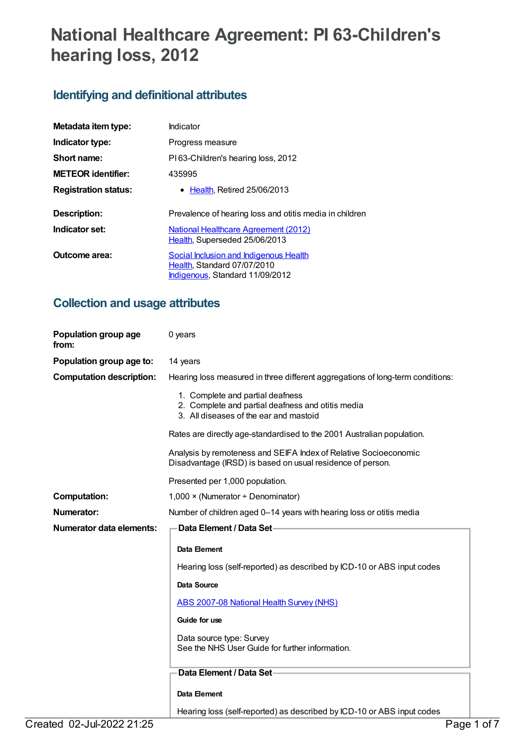# **National Healthcare Agreement: PI 63-Children's hearing loss, 2012**

## **Identifying and definitional attributes**

| Metadata item type:         | Indicator                                                                                                |
|-----------------------------|----------------------------------------------------------------------------------------------------------|
| Indicator type:             | Progress measure                                                                                         |
| Short name:                 | PI63-Children's hearing loss, 2012                                                                       |
| <b>METEOR</b> identifier:   | 435995                                                                                                   |
| <b>Registration status:</b> | • Health, Retired 25/06/2013                                                                             |
| Description:                | Prevalence of hearing loss and otitis media in children                                                  |
| Indicator set:              | <b>National Healthcare Agreement (2012)</b><br>Health, Superseded 25/06/2013                             |
| Outcome area:               | Social Inclusion and Indigenous Health<br>Health, Standard 07/07/2010<br>Indigenous, Standard 11/09/2012 |

## **Collection and usage attributes**

| Population group age<br>from:   | 0 years                                                                                                                         |  |
|---------------------------------|---------------------------------------------------------------------------------------------------------------------------------|--|
| Population group age to:        | 14 years                                                                                                                        |  |
| <b>Computation description:</b> | Hearing loss measured in three different aggregations of long-term conditions:                                                  |  |
|                                 | 1. Complete and partial deafness<br>2. Complete and partial deafness and otitis media<br>3. All diseases of the ear and mastoid |  |
|                                 | Rates are directly age-standardised to the 2001 Australian population.                                                          |  |
|                                 | Analysis by remoteness and SEIFA Index of Relative Socioeconomic<br>Disadvantage (IRSD) is based on usual residence of person.  |  |
|                                 | Presented per 1,000 population.                                                                                                 |  |
| <b>Computation:</b>             | $1,000 \times (Numerator + Denominator)$                                                                                        |  |
| <b>Numerator:</b>               | Number of children aged 0-14 years with hearing loss or otitis media                                                            |  |
|                                 | Data Element / Data Set-                                                                                                        |  |
| <b>Numerator data elements:</b> |                                                                                                                                 |  |
|                                 | Data Element                                                                                                                    |  |
|                                 | Hearing loss (self-reported) as described by ICD-10 or ABS input codes                                                          |  |
|                                 | <b>Data Source</b>                                                                                                              |  |
|                                 | <b>ABS 2007-08 National Health Survey (NHS)</b>                                                                                 |  |
|                                 | Guide for use                                                                                                                   |  |
|                                 | Data source type: Survey<br>See the NHS User Guide for further information.                                                     |  |
|                                 | Data Element / Data Set-                                                                                                        |  |
|                                 | Data Element                                                                                                                    |  |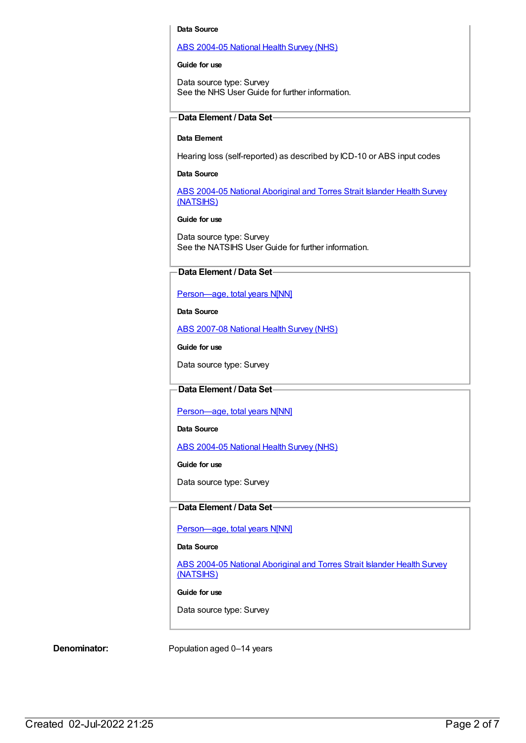#### **Data Source**

#### ABS [2004-05](https://meteor.aihw.gov.au/content/394145) National Health Survey (NHS)

#### **Guide for use**

Data source type: Survey See the NHS User Guide for further information.

## **Data Element / Data Set**

## **Data Element**

Hearing loss (self-reported) as described by ICD-10 or ABS input codes

## **Data Source**

ABS 2004-05 National [Aboriginal](https://meteor.aihw.gov.au/content/394146) and Torres Strait Islander Health Survey (NATSIHS)

#### **Guide for use**

Data source type: Survey See the NATSIHS User Guide for further information.

## **Data Element / Data Set**

## Person-age, total years N[NN]

**Data Source**

ABS [2007-08](https://meteor.aihw.gov.au/content/394103) National Health Survey (NHS)

**Guide for use**

Data source type: Survey

## **Data Element / Data Set**

[Person—age,](https://meteor.aihw.gov.au/content/303794) total years N[NN]

**Data Source**

ABS [2004-05](https://meteor.aihw.gov.au/content/394145) National Health Survey (NHS)

**Guide for use**

Data source type: Survey

## **Data Element / Data Set**

[Person—age,](https://meteor.aihw.gov.au/content/303794) total years N[NN]

## **Data Source**

ABS 2004-05 National [Aboriginal](https://meteor.aihw.gov.au/content/394146) and Torres Strait Islander Health Survey (NATSIHS)

#### **Guide for use**

Data source type: Survey

**Denominator:** Population aged 0–14 years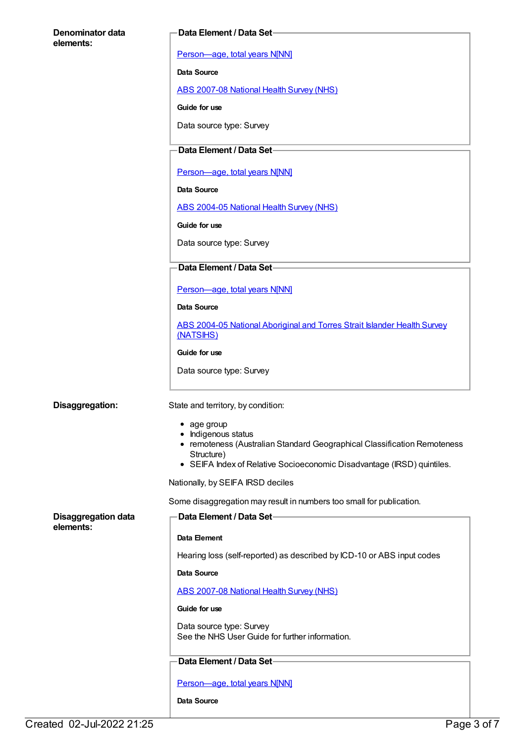| Denominator data           | Data Element / Data Set-                                                                        |
|----------------------------|-------------------------------------------------------------------------------------------------|
| elements:                  | Person-age, total years N[NN]                                                                   |
|                            | Data Source                                                                                     |
|                            | ABS 2007-08 National Health Survey (NHS)                                                        |
|                            | Guide for use                                                                                   |
|                            | Data source type: Survey                                                                        |
|                            |                                                                                                 |
|                            | Data Element / Data Set-                                                                        |
|                            | Person-age, total years N[NN]                                                                   |
|                            | Data Source                                                                                     |
|                            | ABS 2004-05 National Health Survey (NHS)                                                        |
|                            | Guide for use                                                                                   |
|                            | Data source type: Survey                                                                        |
|                            | Data Element / Data Set-                                                                        |
|                            | Person-age, total years N[NN]                                                                   |
|                            | Data Source                                                                                     |
|                            | ABS 2004-05 National Aboriginal and Torres Strait Islander Health Survey<br>(NATSIHS)           |
|                            | Guide for use                                                                                   |
|                            | Data source type: Survey                                                                        |
|                            |                                                                                                 |
| Disaggregation:            | State and territory, by condition:                                                              |
|                            | • age group                                                                                     |
|                            | • Indigenous status<br>• remoteness (Australian Standard Geographical Classification Remoteness |
|                            | Structure)<br>• SEIFA Index of Relative Socioeconomic Disadvantage (IRSD) quintiles.            |
|                            | Nationally, by SEIFA IRSD deciles                                                               |
|                            | Some disaggregation may result in numbers too small for publication.                            |
| <b>Disaggregation data</b> | Data Element / Data Set-                                                                        |
| elements:                  | Data Element                                                                                    |
|                            | Hearing loss (self-reported) as described by ICD-10 or ABS input codes                          |
|                            | <b>Data Source</b>                                                                              |
|                            | <b>ABS 2007-08 National Health Survey (NHS)</b>                                                 |
|                            | Guide for use                                                                                   |
|                            | Data source type: Survey                                                                        |
|                            | See the NHS User Guide for further information.                                                 |
|                            | Data Element / Data Set-                                                                        |
|                            | Person-age, total years N[NN]                                                                   |
|                            | Data Source                                                                                     |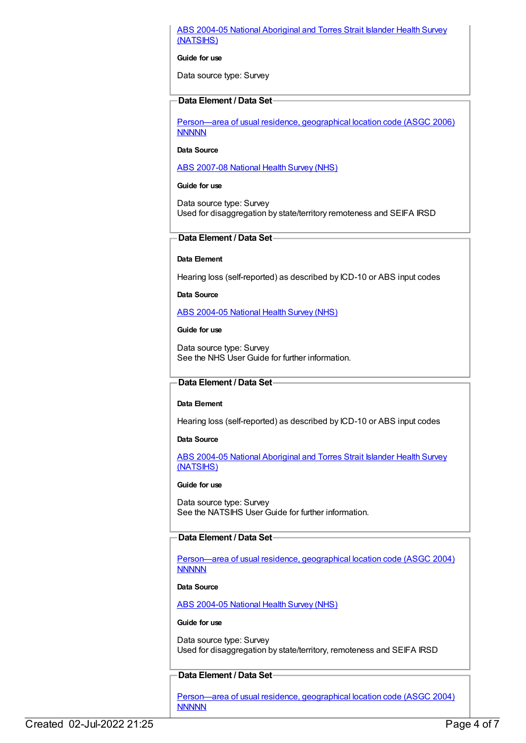## ABS 2004-05 National [Aboriginal](https://meteor.aihw.gov.au/content/394146) and Torres Strait Islander Health Survey (NATSIHS)

### **Guide for use**

Data source type: Survey

## **Data Element / Data Set**

[Person—area](https://meteor.aihw.gov.au/content/341800) of usual residence, geographical location code (ASGC 2006) **NNNNN** 

## **Data Source**

ABS [2007-08](https://meteor.aihw.gov.au/content/394103) National Health Survey (NHS)

#### **Guide for use**

Data source type: Survey Used for disaggregation by state/territory remoteness and SEIFA IRSD

## **Data Element / Data Set**

## **Data Element**

Hearing loss (self-reported) as described by ICD-10 or ABS input codes

**Data Source**

ABS [2004-05](https://meteor.aihw.gov.au/content/394145) National Health Survey (NHS)

## **Guide for use**

Data source type: Survey See the NHS User Guide for further information.

## **Data Element / Data Set**

## **Data Element**

Hearing loss (self-reported) as described by ICD-10 or ABS input codes

## **Data Source**

ABS 2004-05 National [Aboriginal](https://meteor.aihw.gov.au/content/394146) and Torres Strait Islander Health Survey (NATSIHS)

#### **Guide for use**

Data source type: Survey See the NATSIHS User Guide for further information.

## **Data Element / Data Set**

[Person—area](https://meteor.aihw.gov.au/content/270070) of usual residence, geographical location code (ASGC 2004) **NNNNN** 

#### **Data Source**

ABS [2004-05](https://meteor.aihw.gov.au/content/394145) National Health Survey (NHS)

## **Guide for use**

Data source type: Survey Used for disaggregation by state/territory, remoteness and SEIFA IRSD

## **Data Element / Data Set**

[Person—area](https://meteor.aihw.gov.au/content/270070) of usual residence, geographical location code (ASGC 2004) **NNNNN**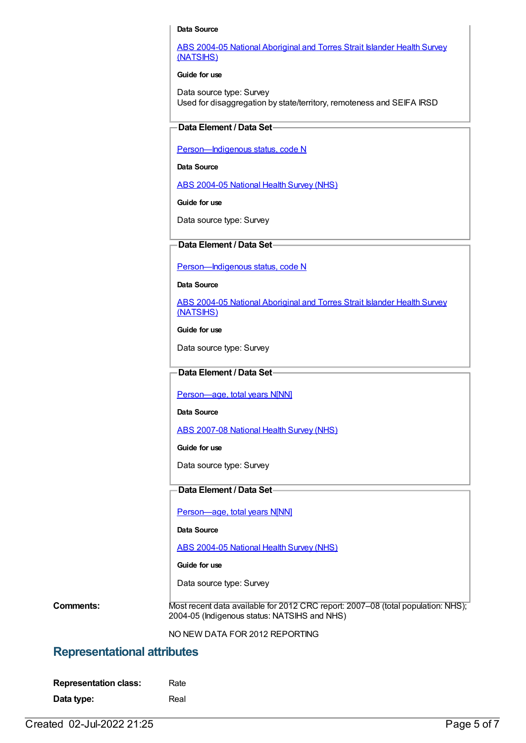#### **Data Source**

ABS 2004-05 National [Aboriginal](https://meteor.aihw.gov.au/content/394146) and Torres Strait Islander Health Survey (NATSIHS)

#### **Guide for use**

Data source type: Survey Used for disaggregation by state/territory, remoteness and SEIFA IRSD

## **Data Element / Data Set**

Person-Indigenous status, code N

**Data Source**

ABS [2004-05](https://meteor.aihw.gov.au/content/394145) National Health Survey (NHS)

**Guide for use**

Data source type: Survey

## **Data Element / Data Set**

[Person—Indigenous](https://meteor.aihw.gov.au/content/291036) status, code N

**Data Source**

ABS 2004-05 National [Aboriginal](https://meteor.aihw.gov.au/content/394146) and Torres Strait Islander Health Survey (NATSIHS)

**Guide for use**

Data source type: Survey

## **Data Element / Data Set**

[Person—age,](https://meteor.aihw.gov.au/content/303794) total years N[NN]

#### **Data Source**

ABS [2007-08](https://meteor.aihw.gov.au/content/394103) National Health Survey (NHS)

**Guide for use**

Data source type: Survey

## **Data Element / Data Set**

[Person—age,](https://meteor.aihw.gov.au/content/303794) total years N[NN]

**Data Source**

ABS [2004-05](https://meteor.aihw.gov.au/content/394145) National Health Survey (NHS)

**Guide for use**

Data source type: Survey

**Comments:** Most recent data available for 2012 CRC report: 2007–08 (total population: NHS); 2004-05 (Indigenous status: NATSIHS and NHS)

NO NEW DATA FOR 2012 REPORTING

## **Representational attributes**

| <b>Representation class:</b> | Rate |
|------------------------------|------|
| Data type:                   | Real |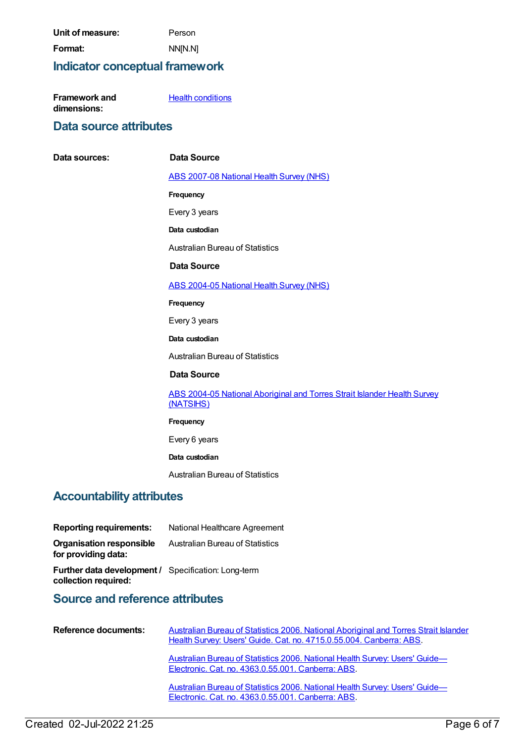| Unit of measure: | Person  |
|------------------|---------|
| Format:          | NN[N.N] |

## **Indicator conceptual framework**

| <b>Framework and</b> | <b>Health conditions</b> |
|----------------------|--------------------------|
| dimensions:          |                          |

## **Data source attributes**

 $Data$  **sources:** 

|                       | <b>Data Source</b>                                                                    |
|-----------------------|---------------------------------------------------------------------------------------|
|                       | <b>ABS 2007-08 National Health Survey (NHS)</b>                                       |
|                       | Frequency                                                                             |
|                       | Every 3 years                                                                         |
|                       | Data custodian                                                                        |
|                       | <b>Australian Bureau of Statistics</b>                                                |
|                       | <b>Data Source</b>                                                                    |
|                       | <b>ABS 2004-05 National Health Survey (NHS)</b>                                       |
|                       | Frequency                                                                             |
|                       | Every 3 years                                                                         |
|                       | Data custodian                                                                        |
|                       | <b>Australian Bureau of Statistics</b>                                                |
|                       | <b>Data Source</b>                                                                    |
|                       | ABS 2004-05 National Aboriginal and Torres Strait Islander Health Survey<br>(NATSIHS) |
|                       | Frequency                                                                             |
|                       | Every 6 years                                                                         |
|                       | Data custodian                                                                        |
|                       | <b>Australian Bureau of Statistics</b>                                                |
| <b>ity attributes</b> |                                                                                       |
|                       |                                                                                       |

## **Accountability**

| <b>Reporting requirements:</b>                                              | National Healthcare Agreement          |
|-----------------------------------------------------------------------------|----------------------------------------|
| <b>Organisation responsible</b><br>for providing data:                      | <b>Australian Bureau of Statistics</b> |
| Further data development / Specification: Long-term<br>collection required: |                                        |

## **Source and reference attributes**

| Reference documents: | Australian Bureau of Statistics 2006. National Aboriginal and Torres Strait Islander<br>Health Survey: Users' Guide. Cat. no. 4715.0.55.004. Canberra: ABS. |
|----------------------|-------------------------------------------------------------------------------------------------------------------------------------------------------------|
|                      | Australian Bureau of Statistics 2006. National Health Survey: Users' Guide-<br>Electronic. Cat. no. 4363.0.55.001. Canberra: ABS.                           |
|                      | Australian Bureau of Statistics 2006. National Health Survey: Users' Guide-<br>Electronic. Cat. no. 4363.0.55.001. Canberra: ABS.                           |